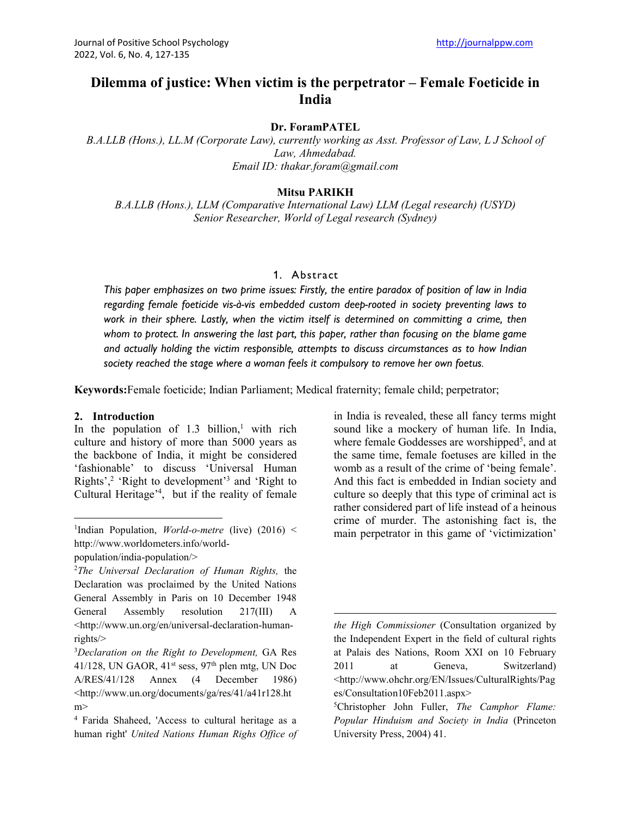# **Dilemma of justice: When victim is the perpetrator – Female Foeticide in India**

#### **Dr. ForamPATEL**

*B.A.LLB (Hons.), LL.M (Corporate Law), currently working as Asst. Professor of Law, L J School of Law, Ahmedabad. Email ID: thakar.foram@gmail.com*

#### **Mitsu PARIKH**

*B.A.LLB (Hons.), LLM (Comparative International Law) LLM (Legal research) (USYD) Senior Researcher, World of Legal research (Sydney)*

#### 1. A bstract

*This paper emphasizes on two prime issues: Firstly, the entire paradox of position of law in India regarding female foeticide vis-à-vis embedded custom deep-rooted in society preventing laws to work in their sphere. Lastly, when the victim itself is determined on committing a crime, then whom to protect. In answering the last part, this paper, rather than focusing on the blame game and actually holding the victim responsible, attempts to discuss circumstances as to how Indian society reached the stage where a woman feels it compulsory to remove her own foetus.* 

**Keywords:**Female foeticide; Indian Parliament; Medical fraternity; female child; perpetrator;

#### **2. Introduction**

In the population of  $1.3$  billion,<sup>1</sup> with rich culture and history of more than 5000 years as the backbone of India, it might be considered 'fashionable' to discuss 'Universal Human Rights',2 'Right to development'3 and 'Right to Cultural Heritage'4 , but if the reality of female

in India is revealed, these all fancy terms might sound like a mockery of human life. In India, where female Goddesses are worshipped<sup>5</sup>, and at the same time, female foetuses are killed in the womb as a result of the crime of 'being female'. And this fact is embedded in Indian society and culture so deeply that this type of criminal act is rather considered part of life instead of a heinous crime of murder. The astonishing fact is, the main perpetrator in this game of 'victimization'

<sup>&</sup>lt;sup>1</sup>Indian Population, *World-o-metre* (live) (2016) < http://www.worldometers.info/world-

population/india-population/>

<sup>2</sup> *The Universal Declaration of Human Rights,* the Declaration was proclaimed by the United Nations General Assembly in Paris on 10 December 1948 General Assembly resolution 217(III) A [<http://www.un.org/en/universal-declaration-human](about:blank)[rights/>](about:blank)

<sup>3</sup> *Declaration on the Right to Development,* GA Res 41/128, UN GAOR,  $41<sup>st</sup> sess, 97<sup>th</sup>$  plen mtg, UN Doc A/RES/41/128 Annex (4 December 1986) [<http://www.un.org/documents/ga/res/41/a41r128.ht](about:blank) [m>](about:blank)

<sup>4</sup> Farida Shaheed, 'Access to cultural heritage as a human right' *United Nations Human Righs Office of* 

*the High Commissioner* (Consultation organized by the Independent Expert in the field of cultural rights at Palais des Nations, Room XXI on 10 February 2011 at Geneva, Switzerland) [<http://www.ohchr.org/EN/Issues/CulturalRights/Pag](about:blank) [es/Consultation10Feb2011.aspx>](about:blank)

<sup>5</sup> Christopher John Fuller, *The Camphor Flame: Popular Hinduism and Society in India* (Princeton University Press, 2004) 41.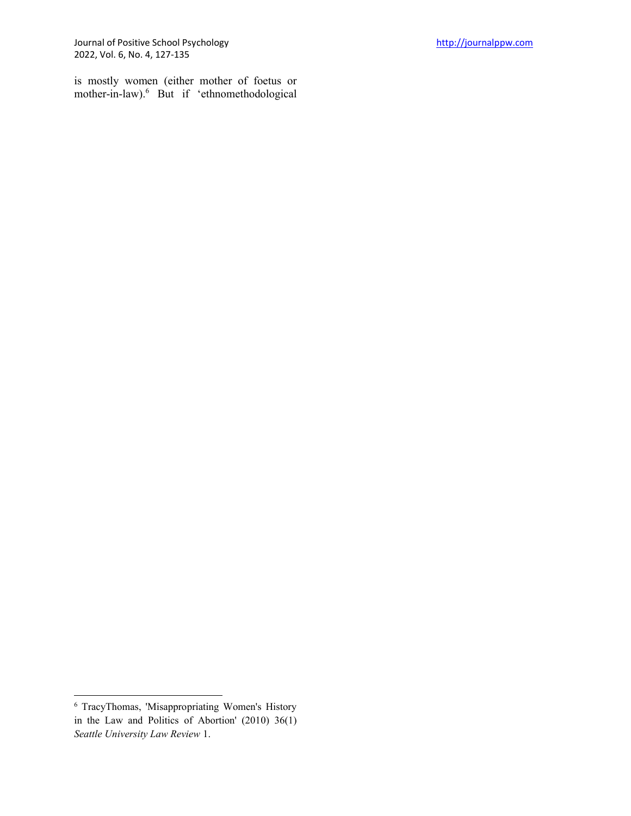Journal of Positive School Psychology [http://journalppw.com](http://journalppw.com/) 2022, Vol. 6, No. 4, 127-135

is mostly women (either mother of foetus or mother-in-law).6 But if 'ethnomethodological

<sup>6</sup> TracyThomas, 'Misappropriating Women's History in the Law and Politics of Abortion' (2010) 36(1) *Seattle University Law Review* 1.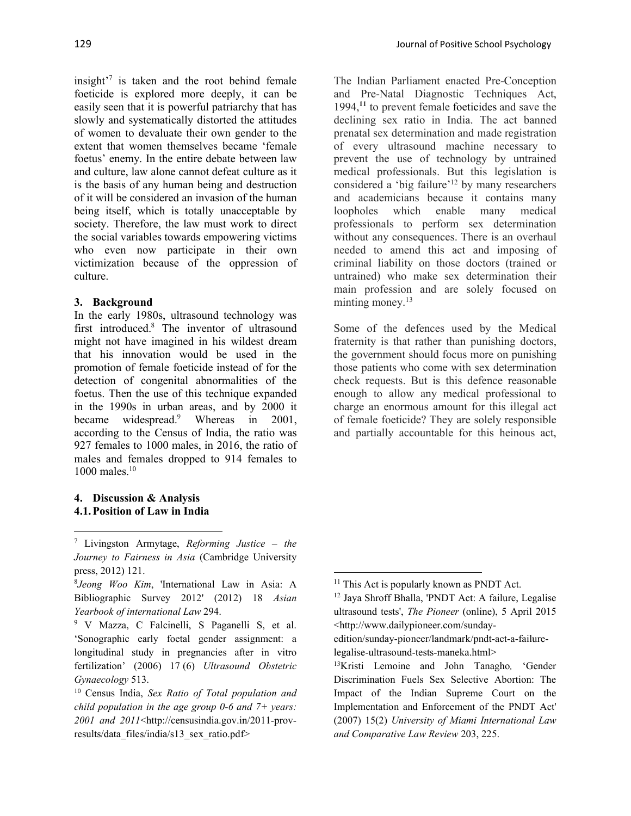insight $i^7$  is taken and the root behind female foeticide is explored more deeply, it can be easily seen that it is powerful patriarchy that has slowly and systematically distorted the attitudes of women to devaluate their own gender to the extent that women themselves became 'female foetus' enemy. In the entire debate between law and culture, law alone cannot defeat culture as it is the basis of any human being and destruction of it will be considered an invasion of the human being itself, which is totally unacceptable by society. Therefore, the law must work to direct the social variables towards empowering victims who even now participate in their own victimization because of the oppression of culture.

# **3. Background**

In the early 1980s, ultrasound technology was first introduced.8 The inventor of ultrasound might not have imagined in his wildest dream that his innovation would be used in the promotion of female foeticide instead of for the detection of congenital abnormalities of the foetus. Then the use of this technique expanded in the 1990s in urban areas, and by 2000 it became widespread.<sup>9</sup> Whereas in 2001, according to the Census of India, the ratio was 927 females to 1000 males, in 2016, the ratio of males and females dropped to 914 females to 1000 males.10

## **4. Discussion & Analysis 4.1. Position of Law in India**

The Indian Parliament enacted Pre-Conception and Pre-Natal Diagnostic Techniques Act, 1994,**<sup>11</sup>** to prevent female foeticides and save the declining sex ratio in India. The act banned prenatal sex determination and made registration of every ultrasound machine necessary to prevent the use of technology by untrained medical professionals. But this legislation is considered a 'big failure'12 by many researchers and academicians because it contains many loopholes which enable many medical professionals to perform sex determination without any consequences. There is an overhaul needed to amend this act and imposing of criminal liability on those doctors (trained or untrained) who make sex determination their main profession and are solely focused on minting money. $13$ 

Some of the defences used by the Medical fraternity is that rather than punishing doctors, the government should focus more on punishing those patients who come with sex determination check requests. But is this defence reasonable enough to allow any medical professional to charge an enormous amount for this illegal act of female foeticide? They are solely responsible and partially accountable for this heinous act,

<sup>7</sup> Livingston Armytage, *Reforming Justice* – *the Journey to Fairness in Asia* (Cambridge University press, 2012) 121.

<sup>8</sup> *Jeong Woo Kim*, 'International Law in Asia: A Bibliographic Survey 2012' (2012) 18 *Asian Yearbook of international Law* 294.

<sup>9</sup> V Mazza, C Falcinelli, S Paganelli S, et al. 'Sonographic early foetal gender assignment: a longitudinal study in pregnancies after in vitro fertilization' (2006) 17 (6) *Ultrasound Obstetric Gynaecology* 513.

<sup>10</sup> Census India, *Sex Ratio of Total population and child population in the age group 0-6 and 7+ years: 2001 and 2011*<http://censusindia.gov.in/2011-provresults/data\_files/india/s13\_sex\_ratio.pdf>

<sup>&</sup>lt;sup>11</sup> This Act is popularly known as PNDT Act.

<sup>12</sup> Jaya Shroff Bhalla, 'PNDT Act: A failure, Legalise ultrasound tests', *The Pioneer* (online), 5 April 2015 [<http://www.dailypioneer.com/sunday-](about:blank)

[edition/sunday-pioneer/landmark/pndt-act-a-failure](about:blank)[legalise-ultrasound-tests-maneka.html>](about:blank)

<sup>13</sup>Kristi Lemoine and John Tanagho*,* 'Gender Discrimination Fuels Sex Selective Abortion: The Impact of the Indian Supreme Court on the Implementation and Enforcement of the PNDT Act' (2007) 15(2) *University of Miami International Law and Comparative Law Review* 203, 225.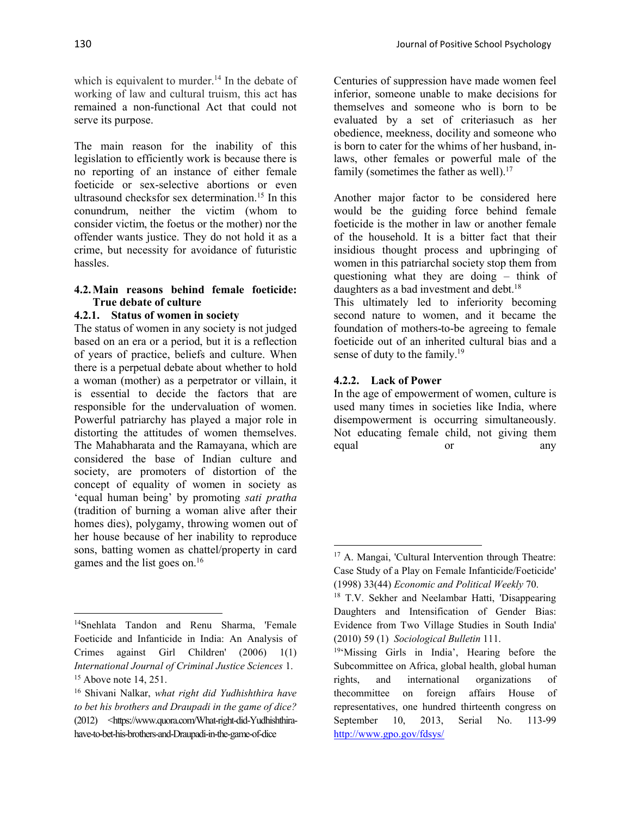which is equivalent to murder.<sup>14</sup> In the debate of working of law and cultural truism, this act has remained a non-functional Act that could not serve its purpose.

The main reason for the inability of this legislation to efficiently work is because there is no reporting of an instance of either female foeticide or sex-selective abortions or even ultrasound checksfor sex determination.15 In this conundrum, neither the victim (whom to consider victim, the foetus or the mother) nor the offender wants justice. They do not hold it as a crime, but necessity for avoidance of futuristic hassles.

#### **4.2. Main reasons behind female foeticide: True debate of culture**

## **4.2.1. Status of women in society**

The status of women in any society is not judged based on an era or a period, but it is a reflection of years of practice, beliefs and culture. When there is a perpetual debate about whether to hold a woman (mother) as a perpetrator or villain, it is essential to decide the factors that are responsible for the undervaluation of women. Powerful patriarchy has played a major role in distorting the attitudes of women themselves. The Mahabharata and the Ramayana, which are considered the base of Indian culture and society, are promoters of distortion of the concept of equality of women in society as 'equal human being' by promoting *sati pratha* (tradition of burning a woman alive after their homes dies), polygamy, throwing women out of her house because of her inability to reproduce sons, batting women as chattel/property in card games and the list goes on.16

themselves and someone who is born to be evaluated by a set of criteriasuch as her obedience, meekness, docility and someone who is born to cater for the whims of her husband, inlaws, other females or powerful male of the family (sometimes the father as well).<sup>17</sup>

Another major factor to be considered here would be the guiding force behind female foeticide is the mother in law or another female of the household. It is a bitter fact that their insidious thought process and upbringing of women in this patriarchal society stop them from questioning what they are doing – think of daughters as a bad investment and debt.<sup>18</sup>

This ultimately led to inferiority becoming second nature to women, and it became the foundation of mothers-to-be agreeing to female foeticide out of an inherited cultural bias and a sense of duty to the family.<sup>19</sup>

# **4.2.2. Lack of Power**

In the age of empowerment of women, culture is used many times in societies like India, where disempowerment is occurring simultaneously. Not educating female child, not giving them equal or any

<sup>14</sup>Snehlata Tandon and Renu Sharma, 'Female Foeticide and Infanticide in India: An Analysis of Crimes against Girl Children' (2006) 1(1) *International Journal of Criminal Justice Sciences* 1. <sup>15</sup> Above note 14, 251.

<sup>16</sup> Shivani Nalkar, *what right did Yudhishthira have to bet his brothers and Draupadi in the game of dice?*  (2012) <https://www.quora.com/What-right-did-Yudhishthirahave-to-bet-his-brothers-and-Draupadi-in-the-game-of-dice

<sup>17</sup> A. Mangai, 'Cultural Intervention through Theatre: Case Study of a Play on Female Infanticide/Foeticide' (1998) 33(44) *Economic and Political Weekly* 70.

<sup>18</sup> T.V. Sekher and Neelambar Hatti, 'Disappearing Daughters and Intensification of Gender Bias: Evidence from Two Village Studies in South India' (2010) 59 (1) *Sociological Bulletin* 111.

<sup>19&#</sup>x27;Missing Girls in India', Hearing before the Subcommittee on Africa, global health, global human rights, and international organizations of thecommittee on foreign affairs House of representatives, one hundred thirteenth congress on September 10, 2013, Serial No. 113-99 [http://www.gpo.gov/fdsys/](about:blank)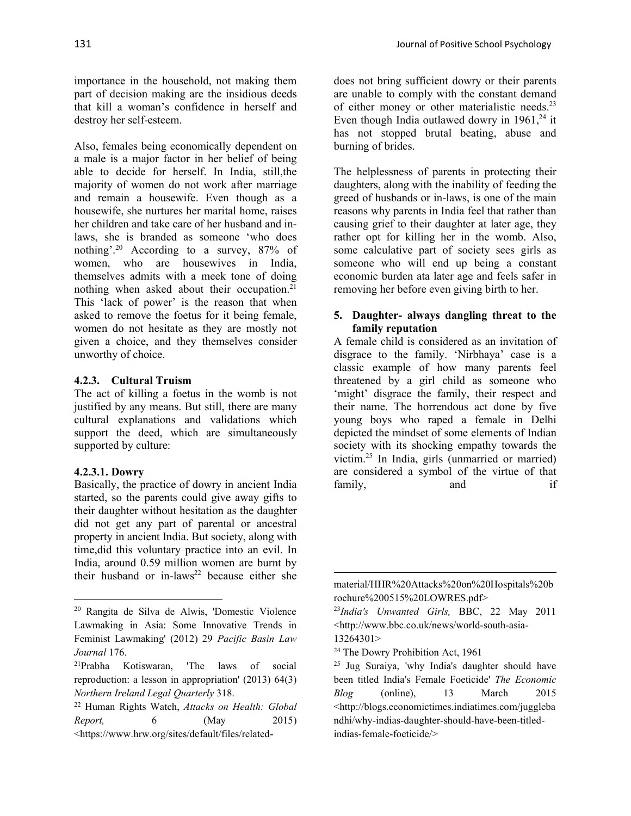importance in the household, not making them part of decision making are the insidious deeds that kill a woman's confidence in herself and destroy her self-esteem.

Also, females being economically dependent on a male is a major factor in her belief of being able to decide for herself. In India, still,the majority of women do not work after marriage and remain a housewife. Even though as a housewife, she nurtures her marital home, raises her children and take care of her husband and inlaws, she is branded as someone 'who does nothing'.20 According to a survey, 87% of women, who are housewives in India, themselves admits with a meek tone of doing nothing when asked about their occupation.<sup>21</sup> This 'lack of power' is the reason that when asked to remove the foetus for it being female, women do not hesitate as they are mostly not given a choice, and they themselves consider unworthy of choice.

#### **4.2.3. Cultural Truism**

The act of killing a foetus in the womb is not justified by any means. But still, there are many cultural explanations and validations which support the deed, which are simultaneously supported by culture:

#### **4.2.3.1. Dowry**

Basically, the practice of dowry in ancient India started, so the parents could give away gifts to their daughter without hesitation as the daughter did not get any part of parental or ancestral property in ancient India. But society, along with time,did this voluntary practice into an evil. In India, around 0.59 million women are burnt by their husband or in-laws<sup>22</sup> because either she

does not bring sufficient dowry or their parents are unable to comply with the constant demand of either money or other materialistic needs.23 Even though India outlawed dowry in  $1961$ ,<sup>24</sup> it has not stopped brutal beating, abuse and burning of brides.

The helplessness of parents in protecting their daughters, along with the inability of feeding the greed of husbands or in-laws, is one of the main reasons why parents in India feel that rather than causing grief to their daughter at later age, they rather opt for killing her in the womb. Also, some calculative part of society sees girls as someone who will end up being a constant economic burden ata later age and feels safer in removing her before even giving birth to her.

#### **5. Daughter- always dangling threat to the family reputation**

A female child is considered as an invitation of disgrace to the family. 'Nirbhaya' case is a classic example of how many parents feel threatened by a girl child as someone who 'might' disgrace the family, their respect and their name. The horrendous act done by five young boys who raped a female in Delhi depicted the mindset of some elements of Indian society with its shocking empathy towards the victim.25 In India, girls (unmarried or married) are considered a symbol of the virtue of that family, and if

<sup>24</sup> The Dowry Prohibition Act, 1961

<sup>20</sup> Rangita de Silva de Alwis, 'Domestic Violence Lawmaking in Asia: Some Innovative Trends in Feminist Lawmaking' (2012) 29 *Pacific Basin Law Journal* 176.

<sup>21</sup>Prabha Kotiswaran, 'The laws of social reproduction: a lesson in appropriation' (2013) 64(3) *Northern Ireland Legal Quarterly* 318.

<sup>22</sup> Human Rights Watch, *Attacks on Health: Global Report,* 6 (May 2015) <https://www.hrw.org/sites/default/files/related-

material/HHR%20Attacks%20on%20Hospitals%20b rochure%200515%20LOWRES.pdf>

<sup>23</sup>*India's Unwanted Girls,* BBC, 22 May 2011 <http://www.bbc.co.uk/news/world-south-asia-13264301>

<sup>25</sup> Jug Suraiya, 'why India's daughter should have been titled India's Female Foeticide' *The Economic Blog* (online), 13 March 2015 [<http://blogs.economictimes.indiatimes.com/juggleba](about:blank) [ndhi/why-indias-daughter-should-have-been-titled](about:blank)[indias-female-foeticide/>](about:blank)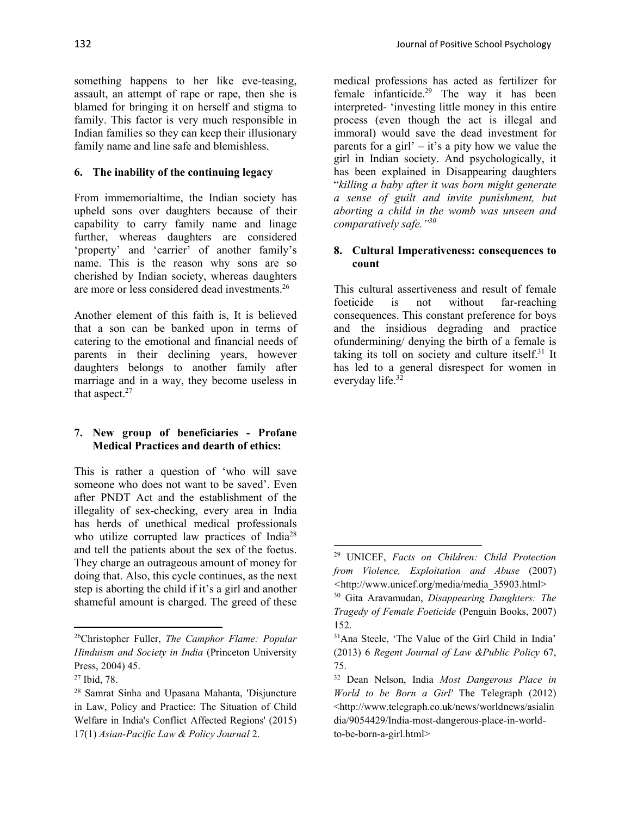something happens to her like eve-teasing, assault, an attempt of rape or rape, then she is blamed for bringing it on herself and stigma to family. This factor is very much responsible in Indian families so they can keep their illusionary family name and line safe and blemishless.

#### **6. The inability of the continuing legacy**

From immemorialtime, the Indian society has upheld sons over daughters because of their capability to carry family name and linage further, whereas daughters are considered 'property' and 'carrier' of another family's name. This is the reason why sons are so cherished by Indian society, whereas daughters are more or less considered dead investments.26

Another element of this faith is, It is believed that a son can be banked upon in terms of catering to the emotional and financial needs of parents in their declining years, however daughters belongs to another family after marriage and in a way, they become useless in that aspect.<sup>27</sup>

#### **7. New group of beneficiaries - Profane Medical Practices and dearth of ethics:**

This is rather a question of 'who will save someone who does not want to be saved'. Even after PNDT Act and the establishment of the illegality of sex-checking, every area in India has herds of unethical medical professionals who utilize corrupted law practices of India<sup>28</sup> and tell the patients about the sex of the foetus. They charge an outrageous amount of money for doing that. Also, this cycle continues, as the next step is aborting the child if it's a girl and another shameful amount is charged. The greed of these

medical professions has acted as fertilizer for female infanticide.29 The way it has been interpreted- 'investing little money in this entire process (even though the act is illegal and immoral) would save the dead investment for parents for a girl' – it's a pity how we value the girl in Indian society. And psychologically, it has been explained in Disappearing daughters "*killing a baby after it was born might generate a sense of guilt and invite punishment, but aborting a child in the womb was unseen and comparatively safe."30*

#### **8. Cultural Imperativeness: consequences to count**

This cultural assertiveness and result of female foeticide is not without far-reaching consequences. This constant preference for boys and the insidious degrading and practice ofundermining/ denying the birth of a female is taking its toll on society and culture itself. $31$  It has led to a general disrespect for women in everyday life. $32$ 

<sup>26</sup>Christopher Fuller, *The Camphor Flame: Popular Hinduism and Society in India* (Princeton University Press, 2004) 45.

<sup>27</sup> Ibid, 78.

<sup>28</sup> Samrat Sinha and Upasana Mahanta, 'Disjuncture in Law, Policy and Practice: The Situation of Child Welfare in India's Conflict Affected Regions' (2015) 17(1) *Asian-Pacific Law & Policy Journal* 2.

<sup>29</sup> UNICEF, *Facts on Children: Child Protection from Violence, Exploitation and Abuse* (2007) *<*http://www.unicef.org/media/media\_35903.html>

<sup>30</sup> Gita Aravamudan, *Disappearing Daughters: The Tragedy of Female Foeticide* (Penguin Books, 2007) 152.

<sup>31</sup>Ana Steele, 'The Value of the Girl Child in India' (2013) 6 *Regent Journal of Law &Public Policy* 67, 75.

<sup>32</sup> Dean Nelson, India *Most Dangerous Place in World to be Born a Girl'* The Telegraph (2012) <http://www.telegraph.co.uk/news/worldnews/asialin dia/9054429/India-most-dangerous-place-in-worldto-be-born-a-girl.html>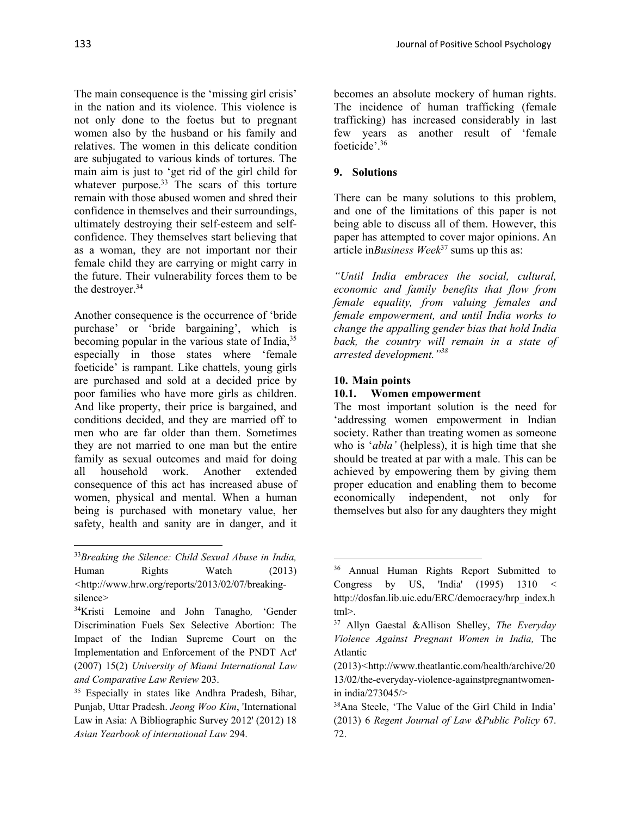The main consequence is the 'missing girl crisis' in the nation and its violence. This violence is not only done to the foetus but to pregnant women also by the husband or his family and relatives. The women in this delicate condition are subjugated to various kinds of tortures. The main aim is just to 'get rid of the girl child for whatever purpose.<sup>33</sup> The scars of this torture remain with those abused women and shred their confidence in themselves and their surroundings, ultimately destroying their self-esteem and selfconfidence. They themselves start believing that as a woman, they are not important nor their female child they are carrying or might carry in the future. Their vulnerability forces them to be the destroyer.<sup>34</sup>

Another consequence is the occurrence of 'bride purchase' or 'bride bargaining', which is becoming popular in the various state of India,<sup>35</sup> especially in those states where 'female foeticide' is rampant. Like chattels, young girls are purchased and sold at a decided price by poor families who have more girls as children. And like property, their price is bargained, and conditions decided, and they are married off to men who are far older than them. Sometimes they are not married to one man but the entire family as sexual outcomes and maid for doing all household work. Another extended consequence of this act has increased abuse of women, physical and mental. When a human being is purchased with monetary value, her safety, health and sanity are in danger, and it

becomes an absolute mockery of human rights. The incidence of human trafficking (female trafficking) has increased considerably in last few years as another result of 'female foeticide'.36

# **9. Solutions**

There can be many solutions to this problem, and one of the limitations of this paper is not being able to discuss all of them. However, this paper has attempted to cover major opinions. An article in*Business Week*<sup>37</sup> sums up this as:

*"Until India embraces the social, cultural, economic and family benefits that flow from female equality, from valuing females and female empowerment, and until India works to change the appalling gender bias that hold India back, the country will remain in a state of arrested development."38*

#### **10. Main points**

#### **10.1. Women empowerment**

The most important solution is the need for 'addressing women empowerment in Indian society. Rather than treating women as someone who is '*abla'* (helpless), it is high time that she should be treated at par with a male. This can be achieved by empowering them by giving them proper education and enabling them to become economically independent, not only for themselves but also for any daughters they might

<sup>33</sup>*Breaking the Silence: Child Sexual Abuse in India,*  Human Rights Watch (2013) *<*http://www.hrw.org/reports/2013/02/07/breakingsilence>

<sup>34</sup>Kristi Lemoine and John Tanagho*,* 'Gender Discrimination Fuels Sex Selective Abortion: The Impact of the Indian Supreme Court on the Implementation and Enforcement of the PNDT Act' (2007) 15(2) *University of Miami International Law and Comparative Law Review* 203.

<sup>35</sup> Especially in states like Andhra Pradesh, Bihar, Punjab, Uttar Pradesh. *Jeong Woo Kim*, 'International Law in Asia: A Bibliographic Survey 2012' (2012) 18 *Asian Yearbook of international Law* 294.

<sup>&</sup>lt;sup>36</sup> Annual Human Rights Report Submitted to Congress by US, 'India'  $(1995)$  1310 < http://dosfan.lib.uic.edu/ERC/democracy/hrp\_index.h tml>.

<sup>37</sup> Allyn Gaestal &Allison Shelley, *The Everyday Violence Against Pregnant Women in India,* The Atlantic

<sup>(2013)</sup>*<*http://www.theatlantic.com/health/archive/20 13/02/the-everyday-violence-againstpregnantwomenin india/273045/>

<sup>38</sup>Ana Steele, 'The Value of the Girl Child in India' (2013) 6 *Regent Journal of Law &Public Policy* 67. 72.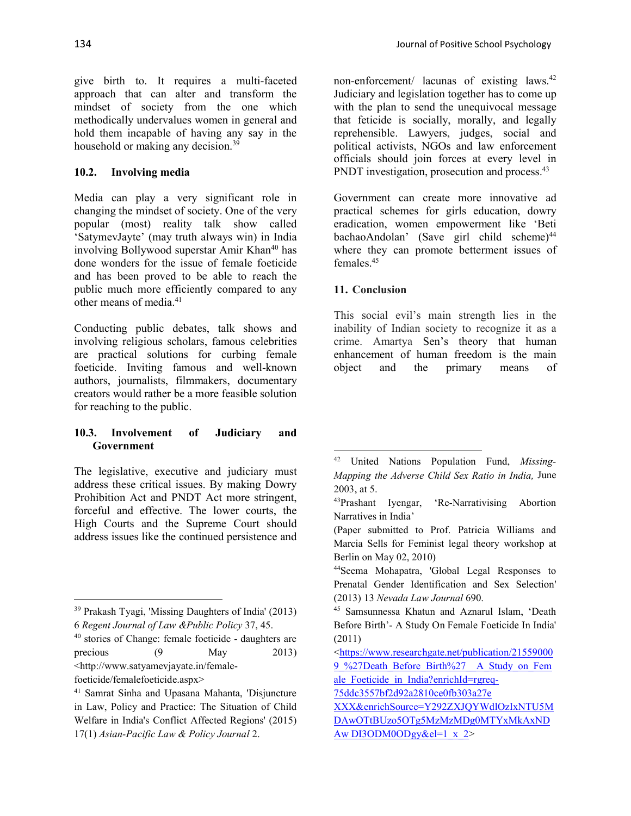give birth to. It requires a multi-faceted approach that can alter and transform the mindset of society from the one which methodically undervalues women in general and hold them incapable of having any say in the household or making any decision.<sup>39</sup>

## **10.2. Involving media**

Media can play a very significant role in changing the mindset of society. One of the very popular (most) reality talk show called 'SatymevJayte' (may truth always win) in India involving Bollywood superstar Amir Khan<sup>40</sup> has done wonders for the issue of female foeticide and has been proved to be able to reach the public much more efficiently compared to any other means of media.41

Conducting public debates, talk shows and involving religious scholars, famous celebrities are practical solutions for curbing female foeticide. Inviting famous and well-known authors, journalists, filmmakers, documentary creators would rather be a more feasible solution for reaching to the public.

## **10.3. Involvement of Judiciary and Government**

The legislative, executive and judiciary must address these critical issues. By making Dowry Prohibition Act and PNDT Act more stringent, forceful and effective. The lower courts, the High Courts and the Supreme Court should address issues like the continued persistence and non-enforcement/ lacunas of existing laws.<sup>42</sup> Judiciary and legislation together has to come up with the plan to send the unequivocal message that feticide is socially, morally, and legally reprehensible. Lawyers, judges, social and political activists, NGOs and law enforcement officials should join forces at every level in PNDT investigation, prosecution and process.<sup>43</sup>

Government can create more innovative ad practical schemes for girls education, dowry eradication, women empowerment like 'Beti bachaoAndolan' (Save girl child scheme)<sup>44</sup> where they can promote betterment issues of females.<sup>45</sup>

# **11. Conclusion**

This social evil's main strength lies in the inability of Indian society to recognize it as a crime. Amartya Sen's theory that human enhancement of human freedom is the main object and the primary means of

<sup>39</sup> Prakash Tyagi, 'Missing Daughters of India' (2013) 6 *Regent Journal of Law &Public Policy* 37, 45.

<sup>40</sup> stories of Change: female foeticide - daughters are precious (9 May 2013) [<http://www.satyamevjayate.in/female-](about:blank)

[foeticide/femalefoeticide.aspx>](about:blank)

<sup>41</sup> Samrat Sinha and Upasana Mahanta, 'Disjuncture in Law, Policy and Practice: The Situation of Child Welfare in India's Conflict Affected Regions' (2015) 17(1) *Asian-Pacific Law & Policy Journal* 2.

<sup>42</sup> United Nations Population Fund, *Missing-Mapping the Adverse Child Sex Ratio in India,* June 2003, at 5.

<sup>43</sup>Prashant Iyengar, 'Re-Narrativising Abortion Narratives in India'

<sup>(</sup>Paper submitted to Prof. Patricia Williams and Marcia Sells for Feminist legal theory workshop at Berlin on May 02, 2010)

<sup>44</sup>Seema Mohapatra, 'Global Legal Responses to Prenatal Gender Identification and Sex Selection' (2013) 13 *Nevada Law Journal* 690.

<sup>45</sup> Samsunnessa Khatun and Aznarul Islam, 'Death Before Birth'- A Study On Female Foeticide In India' (2011)

[<sup>&</sup>lt;https://www.researchgate.net/publication/21559000](about:blank) 9 %27Death\_Before\_Birth%27\_A\_Study\_on\_Fem ale Foeticide in India?enrichId=rgreq-

[<sup>75</sup>ddc3557bf2d92a2810ce0fb303a27e](about:blank) 

[XXX&enrichSource=Y292ZXJQYWdlOzIxNTU5M](about:blank)

[DAwOTtBUzo5OTg5MzMzMDg0MTYxMkAxND](about:blank) Aw DI3ODM0ODgy&el=1  $x$  2>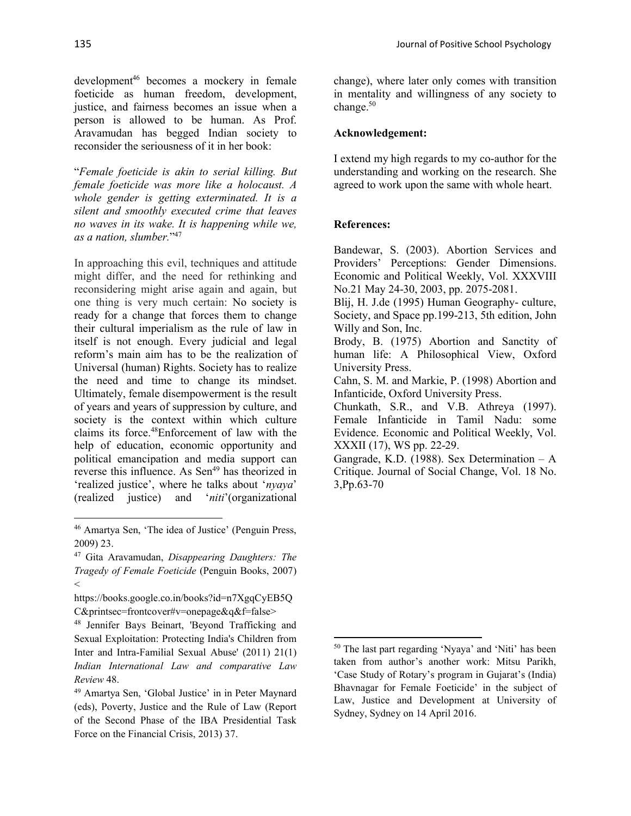development<sup>46</sup> becomes a mockery in female foeticide as human freedom, development, justice, and fairness becomes an issue when a person is allowed to be human. As Prof. Aravamudan has begged Indian society to reconsider the seriousness of it in her book:

"*Female foeticide is akin to serial killing. But female foeticide was more like a holocaust. A whole gender is getting exterminated. It is a silent and smoothly executed crime that leaves no waves in its wake. It is happening while we, as a nation, slumber.*"47

In approaching this evil, techniques and attitude might differ, and the need for rethinking and reconsidering might arise again and again, but one thing is very much certain: No society is ready for a change that forces them to change their cultural imperialism as the rule of law in itself is not enough. Every judicial and legal reform's main aim has to be the realization of Universal (human) Rights. Society has to realize the need and time to change its mindset. Ultimately, female disempowerment is the result of years and years of suppression by culture, and society is the context within which culture claims its force.48Enforcement of law with the help of education, economic opportunity and political emancipation and media support can reverse this influence. As Sen<sup>49</sup> has theorized in 'realized justice', where he talks about '*nyaya*' (realized justice) and '*niti*'(organizational

change), where later only comes with transition in mentality and willingness of any society to change.<sup>50</sup>

#### **Acknowledgement:**

I extend my high regards to my co-author for the understanding and working on the research. She agreed to work upon the same with whole heart.

#### **References:**

Bandewar, S. (2003). Abortion Services and Providers' Perceptions: Gender Dimensions. Economic and Political Weekly, Vol. XXXVIII No.21 May 24-30, 2003, pp. 2075-2081.

Blij, H. J.de (1995) Human Geography- culture, Society, and Space pp.199-213, 5th edition, John Willy and Son, Inc.

Brody, B. (1975) Abortion and Sanctity of human life: A Philosophical View, Oxford University Press.

Cahn, S. M. and Markie, P. (1998) Abortion and Infanticide, Oxford University Press.

Chunkath, S.R., and V.B. Athreya (1997). Female Infanticide in Tamil Nadu: some Evidence. Economic and Political Weekly, Vol. XXXII (17), WS pp. 22-29.

Gangrade, K.D. (1988). Sex Determination – A Critique. Journal of Social Change, Vol. 18 No. 3,Pp.63-70

<sup>46</sup> Amartya Sen, 'The idea of Justice' (Penguin Press, 2009) 23.

<sup>47</sup> Gita Aravamudan, *Disappearing Daughters: The Tragedy of Female Foeticide* (Penguin Books, 2007)  $\lt$ 

https://books.google.co.in/books?id=n7XgqCyEB5Q C&printsec=frontcover#v=onepage&q&f=false>

<sup>48</sup> Jennifer Bays Beinart, 'Beyond Trafficking and Sexual Exploitation: Protecting India's Children from Inter and Intra-Familial Sexual Abuse' (2011) 21(1) *Indian International Law and comparative Law Review* 48.

<sup>49</sup> Amartya Sen, 'Global Justice' in in Peter Maynard (eds), Poverty, Justice and the Rule of Law (Report of the Second Phase of the IBA Presidential Task Force on the Financial Crisis, 2013) 37.

<sup>50</sup> The last part regarding 'Nyaya' and 'Niti' has been taken from author's another work: Mitsu Parikh, 'Case Study of Rotary's program in Gujarat's (India) Bhavnagar for Female Foeticide' in the subject of Law, Justice and Development at University of Sydney, Sydney on 14 April 2016.